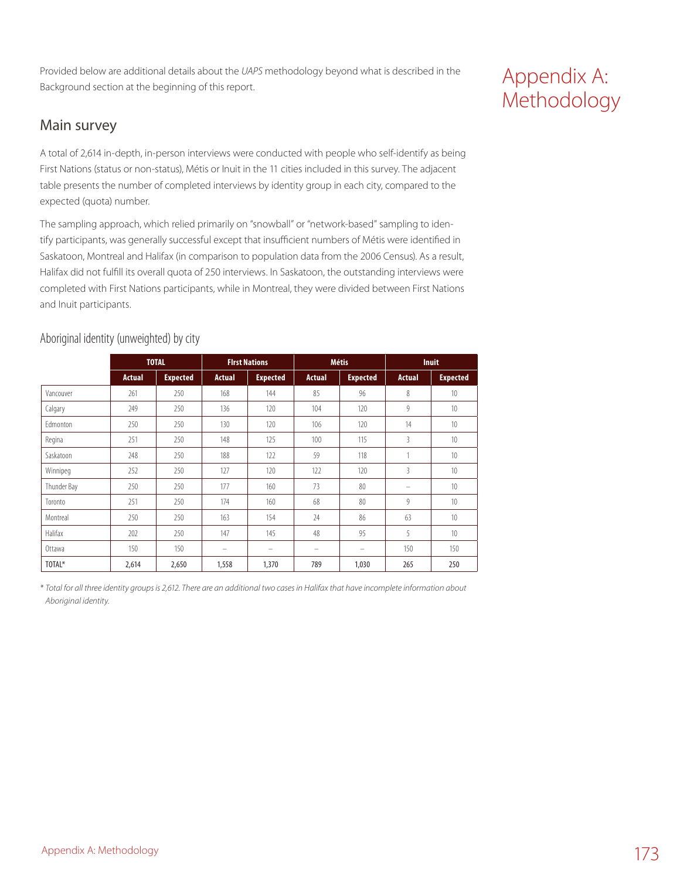Provided below are additional details about the *UAPS* methodology beyond what is described in the Background section at the beginning of this report.

### Main survey

A total of 2,614 in-depth, in-person interviews were conducted with people who self-identify as being First Nations (status or non-status), Métis or Inuit in the 11 cities included in this survey. The adjacent table presents the number of completed interviews by identity group in each city, compared to the expected (quota) number.

The sampling approach, which relied primarily on "snowball" or "network-based" sampling to identify participants, was generally successful except that insufficient numbers of Métis were identified in Saskatoon, Montreal and Halifax (in comparison to population data from the 2006 Census). As a result, Halifax did not fulfill its overall quota of 250 interviews. In Saskatoon, the outstanding interviews were completed with First Nations participants, while in Montreal, they were divided between First Nations and Inuit participants.

|  | Aboriginal identity (unweighted) by city |  |
|--|------------------------------------------|--|
|  |                                          |  |

|                 |               | <b>TOTAL</b>    |               | <b>First Nations</b>     |               | <b>Métis</b>    |               | <b>Inuit</b>    |
|-----------------|---------------|-----------------|---------------|--------------------------|---------------|-----------------|---------------|-----------------|
|                 | <b>Actual</b> | <b>Expected</b> | <b>Actual</b> | <b>Expected</b>          | <b>Actual</b> | <b>Expected</b> | <b>Actual</b> | <b>Expected</b> |
| Vancouver       | 261           | 250             | 168           | 144                      | 85            | 96              | 8             | 10              |
| Calgary         | 249           | 250             | 136           | 120                      | 104           | 120             | 9             | 10              |
| <b>Fdmonton</b> | 250           | 250             | 130           | 120                      | 106           | 120             | 14            | 10 <sup>1</sup> |
| Regina          | 251           | 250             | 148           | 125                      | 100           | 115             | 3             | 10              |
| Saskatoon       | 248           | 250             | 188           | 122                      | 59            | 118             | 1             | 10              |
| Winnipeg        | 252           | 250             | 127           | 120                      | 122           | 120             | 3             | 10              |
| Thunder Bay     | 250           | 250             | 177           | 160                      | 73            | 80              | -             | 10              |
| Toronto         | 251           | 250             | 174           | 160                      | 68            | 80              | 9             | 10 <sup>1</sup> |
| Montreal        | 250           | 250             | 163           | 154                      | 24            | 86              | 63            | 10 <sup>1</sup> |
| Halifax         | 202           | 250             | 147           | 145                      | 48            | 95              | 5             | 10              |
| Ottawa          | 150           | 150             | -             | $\overline{\phantom{0}}$ | -             | -               | 150           | 150             |
| TOTAL*          | 2,614         | 2,650           | 1,558         | 1,370                    | 789           | 1,030           | 265           | 250             |

*\* Total for all three identity groups is 2,612. There are an additional two cases in Halifax that have incomplete information about Aboriginal identity.*

# Appendix A: Methodology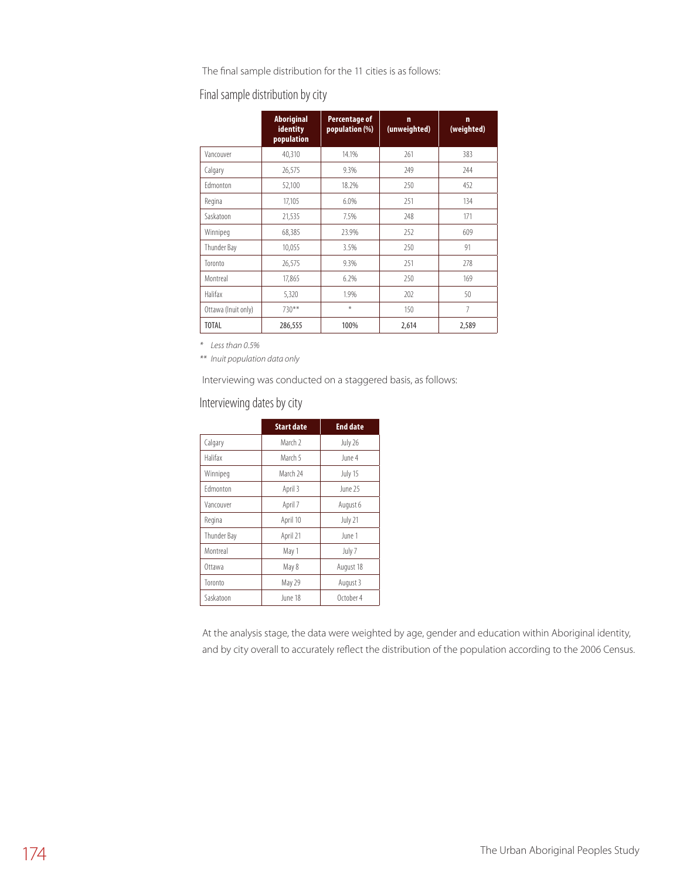The final sample distribution for the 11 cities is as follows:

### Final sample distribution by city

|                     | <b>Aboriginal</b><br>identity<br>population | Percentage of<br>population (%) | $\mathbf n$<br>(unweighted) | 'n<br>(weighted) |
|---------------------|---------------------------------------------|---------------------------------|-----------------------------|------------------|
| Vancouver           | 40,310                                      | 14.1%                           | 261                         | 383              |
| Calgary             | 26,575                                      | 9.3%                            | 249                         | 244              |
| <b>Fdmonton</b>     | 52,100                                      | 18.2%                           | 250                         | 452              |
| Regina              | 17,105                                      | 6.0%                            | 251                         | 134              |
| Saskatoon           | 21,535                                      | 7.5%                            | 248                         | 171              |
| Winnipeg            | 68,385                                      | 23.9%                           | 252                         | 609              |
| Thunder Bay         | 10,055                                      | 3.5%                            | 250                         | 91               |
| Toronto             | 26,575                                      | 9.3%                            | 251                         | 278              |
| Montreal            | 17,865                                      | 6.2%                            | 250                         | 169              |
| Halifax             | 5,320                                       | 1.9%                            | 202                         | 50               |
| Ottawa (Inuit only) | $730**$                                     | $\ast$                          | 150                         | $\overline{7}$   |
| <b>TOTAL</b>        | 286,555                                     | 100%                            | 2,614                       | 2,589            |

*\* Less than 0.5%*

*\*\* Inuit population data only*

Interviewing was conducted on a staggered basis, as follows:

### Interviewing dates by city

|             | <b>Start date</b>  | <b>End date</b> |
|-------------|--------------------|-----------------|
| Calgary     | March <sub>2</sub> | July 26         |
| Halifax     | March 5            | June 4          |
| Winnipeg    | March 24           | July 15         |
| Fdmonton    | April 3            | June 25         |
| Vancouver   | April 7            | August 6        |
| Regina      | April 10           | July 21         |
| Thunder Bay | April 21           | June 1          |
| Montreal    | May 1              | July 7          |
| Ottawa      | May 8              | August 18       |
| Toronto     | May 29             | August 3        |
| Saskatoon   | June 18            | October 4       |

At the analysis stage, the data were weighted by age, gender and education within Aboriginal identity, and by city overall to accurately reflect the distribution of the population according to the 2006 Census.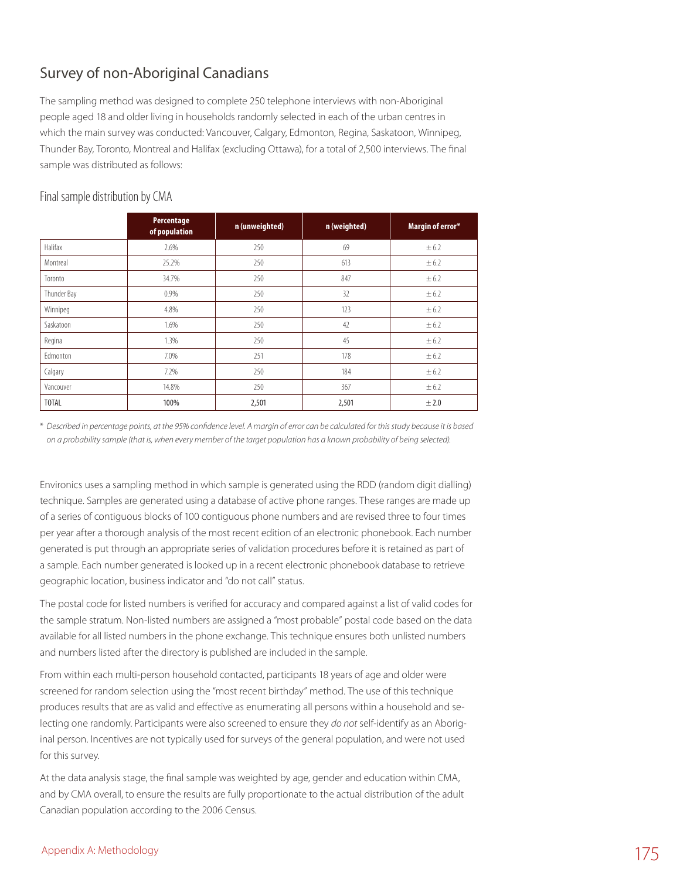## Survey of non-Aboriginal Canadians

The sampling method was designed to complete 250 telephone interviews with non-Aboriginal people aged 18 and older living in households randomly selected in each of the urban centres in which the main survey was conducted: Vancouver, Calgary, Edmonton, Regina, Saskatoon, Winnipeg, Thunder Bay, Toronto, Montreal and Halifax (excluding Ottawa), for a total of 2,500 interviews. The final sample was distributed as follows:

|              | Percentage<br>of population | n (unweighted) | n (weighted) | Margin of error* |
|--------------|-----------------------------|----------------|--------------|------------------|
| Halifax      | 2.6%                        | 250            | 69           | ± 6.2            |
| Montreal     | 25.2%                       | 250            | 613          | ± 6.2            |
| Toronto      | 34.7%                       | 250            | 847          | ± 6.2            |
| Thunder Bay  | 0.9%                        | 250            | 32           | $\pm 6.2$        |
| Winnipeg     | 4.8%                        | 250            | 123          | $\pm 6.2$        |
| Saskatoon    | 1.6%                        | 250            | 42           | ± 6.2            |
| Regina       | 1.3%                        | 250            | 45           | ± 6.2            |
| Edmonton     | 7.0%                        | 251            | 178          | $\pm 6.2$        |
| Calgary      | 7.2%                        | 250            | 184          | ± 6.2            |
| Vancouver    | 14.8%                       | 250            | 367          | ± 6.2            |
| <b>TOTAL</b> | 100%                        | 2,501          | 2,501        | ± 2.0            |

### Final sample distribution by CMA

\* *Described in percentage points, at the 95% confidence level. A margin of error can be calculated for this study because it is based on a probability sample (that is, when every member of the target population has a known probability of being selected).*

Environics uses a sampling method in which sample is generated using the RDD (random digit dialling) technique. Samples are generated using a database of active phone ranges. These ranges are made up of a series of contiguous blocks of 100 contiguous phone numbers and are revised three to four times per year after a thorough analysis of the most recent edition of an electronic phonebook. Each number generated is put through an appropriate series of validation procedures before it is retained as part of a sample. Each number generated is looked up in a recent electronic phonebook database to retrieve geographic location, business indicator and "do not call" status.

The postal code for listed numbers is verified for accuracy and compared against a list of valid codes for the sample stratum. Non-listed numbers are assigned a "most probable" postal code based on the data available for all listed numbers in the phone exchange. This technique ensures both unlisted numbers and numbers listed after the directory is published are included in the sample.

From within each multi-person household contacted, participants 18 years of age and older were screened for random selection using the "most recent birthday" method. The use of this technique produces results that are as valid and effective as enumerating all persons within a household and selecting one randomly. Participants were also screened to ensure they *do not* self-identify as an Aboriginal person. Incentives are not typically used for surveys of the general population, and were not used for this survey.

At the data analysis stage, the final sample was weighted by age, gender and education within CMA, and by CMA overall, to ensure the results are fully proportionate to the actual distribution of the adult Canadian population according to the 2006 Census.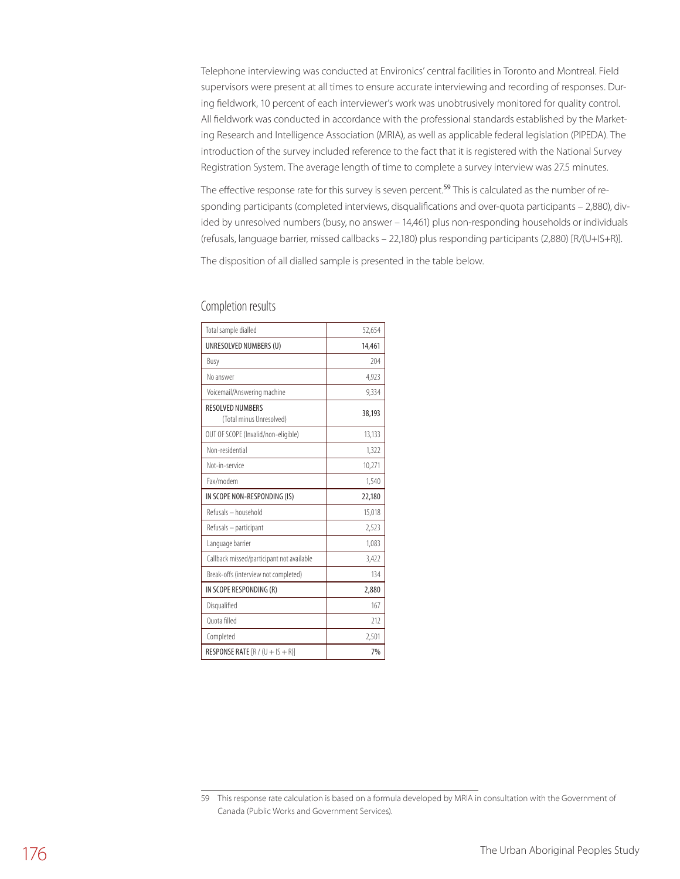Telephone interviewing was conducted at Environics' central facilities in Toronto and Montreal. Field supervisors were present at all times to ensure accurate interviewing and recording of responses. During fieldwork, 10 percent of each interviewer's work was unobtrusively monitored for quality control. All fieldwork was conducted in accordance with the professional standards established by the Marketing Research and Intelligence Association (MRIA), as well as applicable federal legislation (PIPEDA). The introduction of the survey included reference to the fact that it is registered with the National Survey Registration System. The average length of time to complete a survey interview was 27.5 minutes.

The effective response rate for this survey is seven percent.<sup>59</sup> This is calculated as the number of responding participants (completed interviews, disqualifications and over-quota participants – 2,880), divided by unresolved numbers (busy, no answer – 14,461) plus non-responding households or individuals (refusals, language barrier, missed callbacks – 22,180) plus responding participants (2,880) [R/(U+IS+R)].

The disposition of all dialled sample is presented in the table below.

| Total sample dialled                         | 52,654 |
|----------------------------------------------|--------|
| UNRESOLVED NUMBERS (U)                       | 14,461 |
| Busy                                         | 204    |
| No answer                                    | 4,923  |
| Voicemail/Answering machine                  | 9,334  |
| RESOLVED NUMBERS<br>(Total minus Unresolved) | 38,193 |
| OUT OF SCOPE (Invalid/non-eligible)          | 13,133 |
| Non-residential                              | 1,322  |
| Not-in-service                               | 10,271 |
| Fax/modem                                    | 1,540  |
| IN SCOPE NON-RESPONDING (IS)                 | 22,180 |
| Refusals - household                         | 15,018 |
| Refusals - participant                       | 2,523  |
| Language barrier                             | 1,083  |
| Callback missed/participant not available    | 3,422  |
| Break-offs (interview not completed)         | 134    |
| IN SCOPE RESPONDING (R)                      | 2,880  |
| Disqualified                                 | 167    |
| Ouota filled                                 | 212    |
| Completed                                    | 2,501  |
| RESPONSE RATE $[R / (U + IS + R)]$           | 7%     |

#### Completion results

<sup>59</sup> This response rate calculation is based on a formula developed by MRIA in consultation with the Government of Canada (Public Works and Government Services).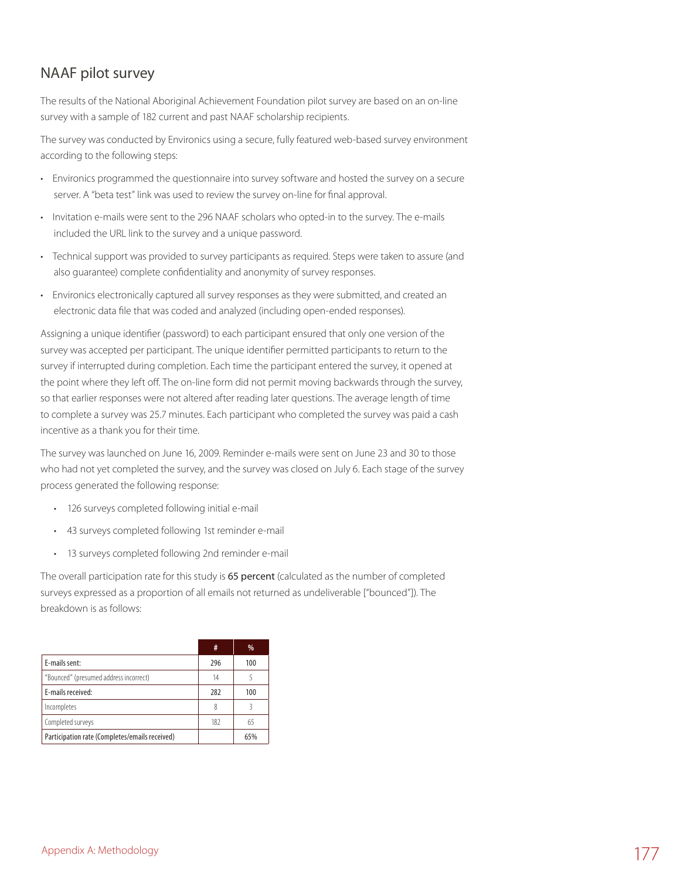## NAAF pilot survey

The results of the National Aboriginal Achievement Foundation pilot survey are based on an on-line survey with a sample of 182 current and past NAAF scholarship recipients.

The survey was conducted by Environics using a secure, fully featured web-based survey environment according to the following steps:

- • Environics programmed the questionnaire into survey software and hosted the survey on a secure server. A "beta test" link was used to review the survey on-line for final approval.
- • Invitation e-mails were sent to the 296 NAAF scholars who opted-in to the survey. The e-mails included the URL link to the survey and a unique password.
- • Technical support was provided to survey participants as required. Steps were taken to assure (and also guarantee) complete confidentiality and anonymity of survey responses.
- • Environics electronically captured all survey responses as they were submitted, and created an electronic data file that was coded and analyzed (including open-ended responses).

Assigning a unique identifier (password) to each participant ensured that only one version of the survey was accepted per participant. The unique identifier permitted participants to return to the survey if interrupted during completion. Each time the participant entered the survey, it opened at the point where they left off. The on-line form did not permit moving backwards through the survey, so that earlier responses were not altered after reading later questions. The average length of time to complete a survey was 25.7 minutes. Each participant who completed the survey was paid a cash incentive as a thank you for their time.

The survey was launched on June 16, 2009. Reminder e-mails were sent on June 23 and 30 to those who had not yet completed the survey, and the survey was closed on July 6. Each stage of the survey process generated the following response:

- • 126 surveys completed following initial e-mail
- • 43 surveys completed following 1st reminder e-mail
- • 13 surveys completed following 2nd reminder e-mail

The overall participation rate for this study is 65 percent (calculated as the number of completed surveys expressed as a proportion of all emails not returned as undeliverable ["bounced"]). The breakdown is as follows:

|                                                | #   | %   |
|------------------------------------------------|-----|-----|
| E-mails sent:                                  | 296 | 100 |
| "Bounced" (presumed address incorrect)         | 14  |     |
| E-mails received:                              | 282 | 100 |
| Incompletes                                    | 8   |     |
| Completed surveys                              | 182 | 65  |
| Participation rate (Completes/emails received) |     | 65% |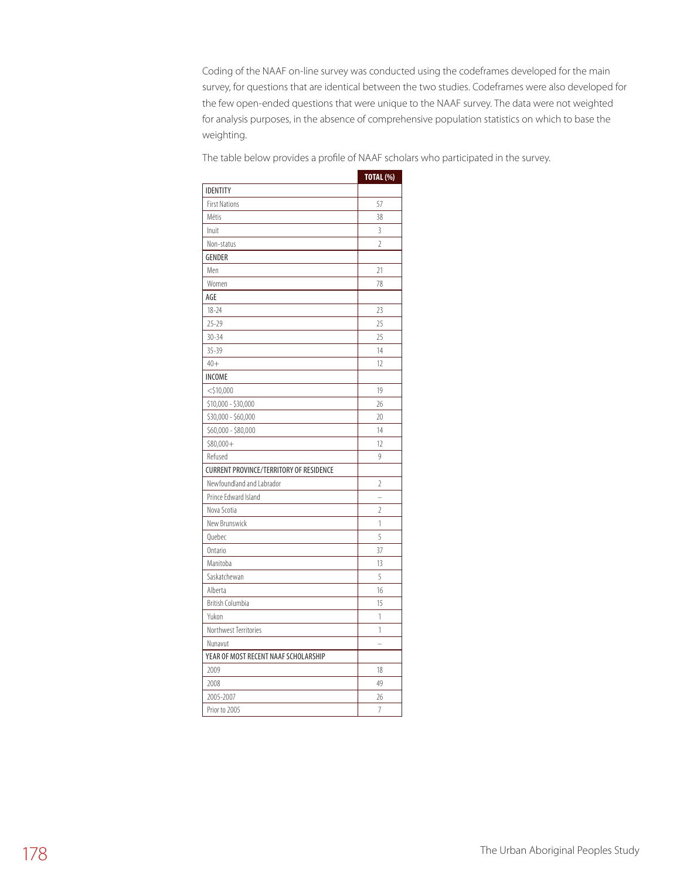Coding of the NAAF on-line survey was conducted using the codeframes developed for the main survey, for questions that are identical between the two studies. Codeframes were also developed for the few open-ended questions that were unique to the NAAF survey. The data were not weighted for analysis purposes, in the absence of comprehensive population statistics on which to base the weighting.

The table below provides a profile of NAAF scholars who participated in the survey.

|                                                | <b>TOTAL (%)</b> |
|------------------------------------------------|------------------|
| <b>IDENTITY</b>                                |                  |
| <b>First Nations</b>                           | 57               |
| Métis                                          | 38               |
| Inuit                                          | 3                |
| Non-status                                     | $\overline{2}$   |
| <b>GENDER</b>                                  |                  |
| Men                                            | 21               |
| Women                                          | 78               |
| AGE                                            |                  |
| $18 - 24$                                      | 23               |
| $25 - 29$                                      | 25               |
| $30 - 34$                                      | 25               |
| $35 - 39$                                      | 14               |
| $40+$                                          | 12               |
| <b>INCOME</b>                                  |                  |
| $<$ \$10,000                                   | 19               |
| \$10,000 - \$30,000                            | 26               |
| \$30,000 - \$60,000                            | 20               |
| \$60,000 - \$80,000                            | 14               |
| $$80,000+$                                     | 12               |
| Refused                                        | 9                |
| <b>CURRENT PROVINCE/TERRITORY OF RESIDENCE</b> |                  |
| Newfoundland and Labrador                      | 2                |
| Prince Edward Island                           | $\overline{a}$   |
| Nova Scotia                                    | 2                |
| New Brunswick                                  | 1                |
| Ouebec                                         | 5                |
| Ontario                                        | 37               |
| Manitoba                                       | 13               |
| Saskatchewan                                   | 5                |
| Alberta                                        | 16               |
| <b>British Columbia</b>                        | 15               |
| Yukon                                          | 1                |
| Northwest Territories                          | 1                |
| Nunavut                                        |                  |
| YEAR OF MOST RECENT NAAF SCHOLARSHIP           |                  |
| 2009                                           | 18               |
| 2008                                           | 49               |
| 2005-2007                                      | 26               |
| Prior to 2005                                  | 7                |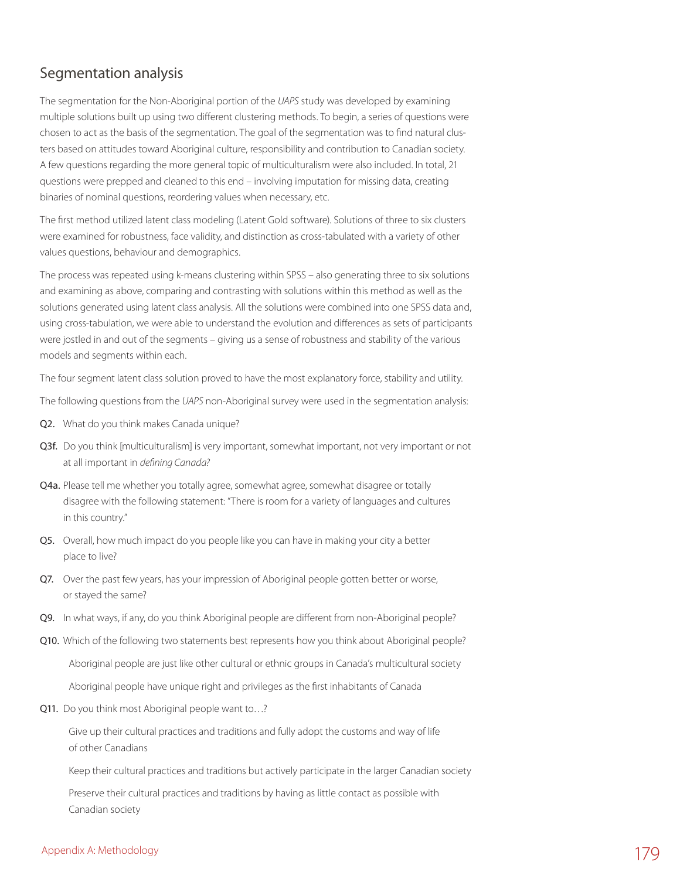### Segmentation analysis

The segmentation for the Non-Aboriginal portion of the *UAPS* study was developed by examining multiple solutions built up using two different clustering methods. To begin, a series of questions were chosen to act as the basis of the segmentation. The goal of the segmentation was to find natural clusters based on attitudes toward Aboriginal culture, responsibility and contribution to Canadian society. A few questions regarding the more general topic of multiculturalism were also included. In total, 21 questions were prepped and cleaned to this end – involving imputation for missing data, creating binaries of nominal questions, reordering values when necessary, etc.

The first method utilized latent class modeling (Latent Gold software). Solutions of three to six clusters were examined for robustness, face validity, and distinction as cross-tabulated with a variety of other values questions, behaviour and demographics.

The process was repeated using k-means clustering within SPSS – also generating three to six solutions and examining as above, comparing and contrasting with solutions within this method as well as the solutions generated using latent class analysis. All the solutions were combined into one SPSS data and, using cross-tabulation, we were able to understand the evolution and differences as sets of participants were jostled in and out of the segments – giving us a sense of robustness and stability of the various models and segments within each.

The four segment latent class solution proved to have the most explanatory force, stability and utility.

The following questions from the *UAPS* non-Aboriginal survey were used in the segmentation analysis:

- Q2. What do you think makes Canada unique?
- Q3f. Do you think [multiculturalism] is very important, somewhat important, not very important or not at all important in *defining Canada?*
- Q4a. Please tell me whether you totally agree, somewhat agree, somewhat disagree or totally disagree with the following statement: "There is room for a variety of languages and cultures in this country."
- Q5. Overall, how much impact do you people like you can have in making your city a better place to live?
- Q7. Over the past few years, has your impression of Aboriginal people gotten better or worse, or stayed the same?
- Q9. In what ways, if any, do you think Aboriginal people are different from non-Aboriginal people?
- Q10. Which of the following two statements best represents how you think about Aboriginal people?

Aboriginal people are just like other cultural or ethnic groups in Canada's multicultural society

Aboriginal people have unique right and privileges as the first inhabitants of Canada

Q11. Do you think most Aboriginal people want to…?

 Give up their cultural practices and traditions and fully adopt the customs and way of life of other Canadians

Keep their cultural practices and traditions but actively participate in the larger Canadian society

 Preserve their cultural practices and traditions by having as little contact as possible with Canadian society

## Appendix A: Methodology  $179$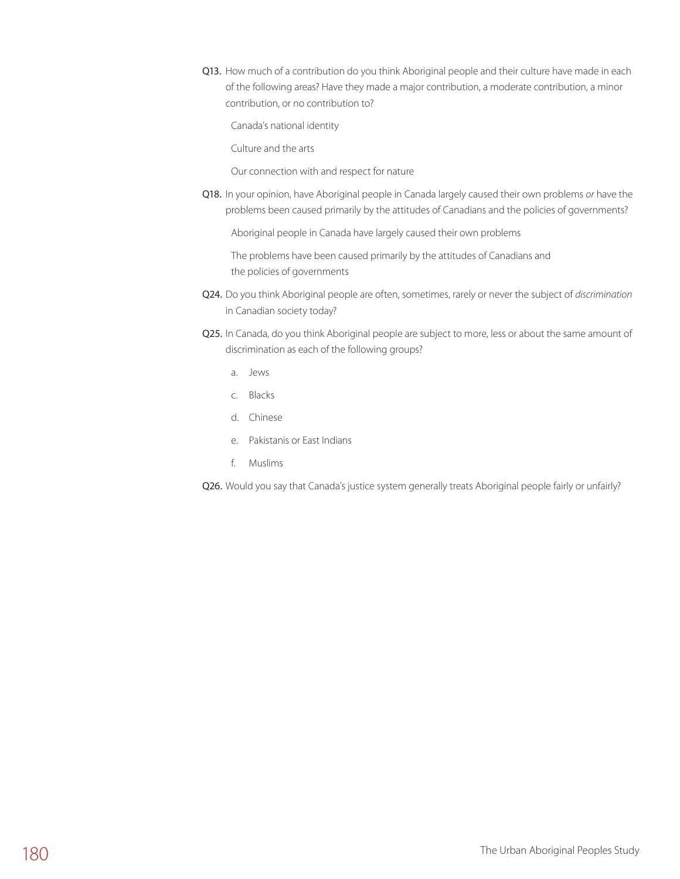Q13. How much of a contribution do you think Aboriginal people and their culture have made in each of the following areas? Have they made a major contribution, a moderate contribution, a minor contribution, or no contribution to?

Canada's national identity

Culture and the arts

Our connection with and respect for nature

Q18. In your opinion, have Aboriginal people in Canada largely caused their own problems *or* have the problems been caused primarily by the attitudes of Canadians and the policies of governments?

Aboriginal people in Canada have largely caused their own problems

 The problems have been caused primarily by the attitudes of Canadians and the policies of governments

- Q24. Do you think Aboriginal people are often, sometimes, rarely or never the subject of *discrimination* in Canadian society today?
- Q25. In Canada, do you think Aboriginal people are subject to more, less or about the same amount of discrimination as each of the following groups?
	- a. Jews
	- c. Blacks
	- d. Chinese
	- e. Pakistanis or East Indians
	- f. Muslims

Q26. Would you say that Canada's justice system generally treats Aboriginal people fairly or unfairly?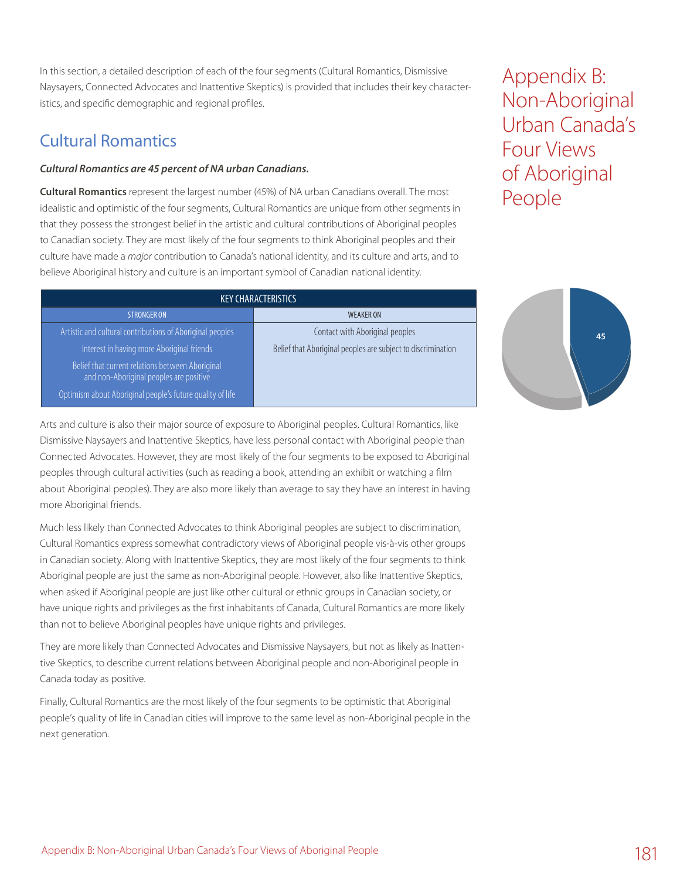In this section, a detailed description of each of the four segments (Cultural Romantics, Dismissive Naysayers, Connected Advocates and Inattentive Skeptics) is provided that includes their key characteristics, and specific demographic and regional profiles.

## Cultural Romantics

#### *Cultural Romantics are 45 percent of NA urban Canadians.*

**Cultural Romantics** represent the largest number (45%) of NA urban Canadians overall. The most idealistic and optimistic of the four segments, Cultural Romantics are unique from other segments in that they possess the strongest belief in the artistic and cultural contributions of Aboriginal peoples to Canadian society. They are most likely of the four segments to think Aboriginal peoples and their culture have made a *major* contribution to Canada's national identity, and its culture and arts, and to believe Aboriginal history and culture is an important symbol of Canadian national identity.

Appendix B: Non-Aboriginal Urban Canada's Four Views of Aboriginal People

| <b>KEY CHARACTERISTICS</b>                                                                  |                                                              |  |  |
|---------------------------------------------------------------------------------------------|--------------------------------------------------------------|--|--|
| <b>STRONGER ON</b>                                                                          | <b>WEAKER ON</b>                                             |  |  |
| Artistic and cultural contributions of Aboriginal peoples                                   | Contact with Aboriginal peoples                              |  |  |
| Interest in having more Aboriginal friends                                                  | Belief that Aboriginal peoples are subject to discrimination |  |  |
| Belief that current relations between Aboriginal<br>and non-Aboriginal peoples are positive |                                                              |  |  |
| Optimism about Aboriginal people's future quality of life                                   |                                                              |  |  |



Arts and culture is also their major source of exposure to Aboriginal peoples. Cultural Romantics, like Dismissive Naysayers and Inattentive Skeptics, have less personal contact with Aboriginal people than Connected Advocates. However, they are most likely of the four segments to be exposed to Aboriginal peoples through cultural activities (such as reading a book, attending an exhibit or watching a film about Aboriginal peoples). They are also more likely than average to say they have an interest in having more Aboriginal friends.

Much less likely than Connected Advocates to think Aboriginal peoples are subject to discrimination, Cultural Romantics express somewhat contradictory views of Aboriginal people vis-à-vis other groups in Canadian society. Along with Inattentive Skeptics, they are most likely of the four segments to think Aboriginal people are just the same as non-Aboriginal people. However, also like Inattentive Skeptics, when asked if Aboriginal people are just like other cultural or ethnic groups in Canadian society, or have unique rights and privileges as the first inhabitants of Canada, Cultural Romantics are more likely than not to believe Aboriginal peoples have unique rights and privileges.

They are more likely than Connected Advocates and Dismissive Naysayers, but not as likely as Inattentive Skeptics, to describe current relations between Aboriginal people and non-Aboriginal people in Canada today as positive.

Finally, Cultural Romantics are the most likely of the four segments to be optimistic that Aboriginal people's quality of life in Canadian cities will improve to the same level as non-Aboriginal people in the next generation.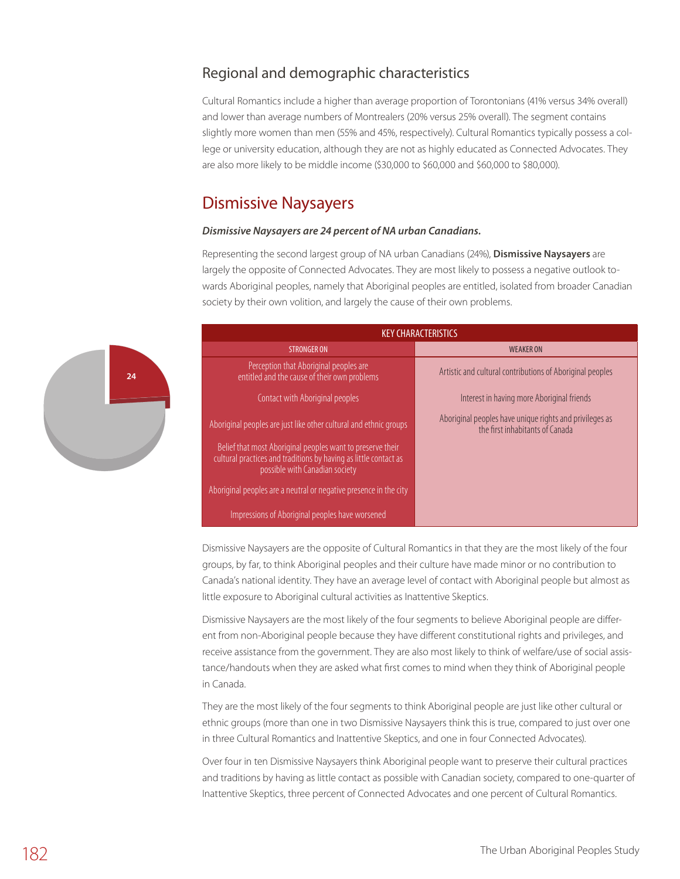### Regional and demographic characteristics

Cultural Romantics include a higher than average proportion of Torontonians (41% versus 34% overall) and lower than average numbers of Montrealers (20% versus 25% overall). The segment contains slightly more women than men (55% and 45%, respectively). Cultural Romantics typically possess a college or university education, although they are not as highly educated as Connected Advocates. They are also more likely to be middle income (\$30,000 to \$60,000 and \$60,000 to \$80,000).

### Dismissive Naysayers

**24**

#### *Dismissive Naysayers are 24 percent of NA urban Canadians.*

Representing the second largest group of NA urban Canadians (24%), **Dismissive Naysayers** are largely the opposite of Connected Advocates. They are most likely to possess a negative outlook towards Aboriginal peoples, namely that Aboriginal peoples are entitled, isolated from broader Canadian society by their own volition, and largely the cause of their own problems.



Dismissive Naysayers are the opposite of Cultural Romantics in that they are the most likely of the four groups, by far, to think Aboriginal peoples and their culture have made minor or no contribution to Canada's national identity. They have an average level of contact with Aboriginal people but almost as little exposure to Aboriginal cultural activities as Inattentive Skeptics.

Dismissive Naysayers are the most likely of the four segments to believe Aboriginal people are different from non-Aboriginal people because they have different constitutional rights and privileges, and receive assistance from the government. They are also most likely to think of welfare/use of social assistance/handouts when they are asked what first comes to mind when they think of Aboriginal people in Canada.

They are the most likely of the four segments to think Aboriginal people are just like other cultural or ethnic groups (more than one in two Dismissive Naysayers think this is true, compared to just over one in three Cultural Romantics and Inattentive Skeptics, and one in four Connected Advocates).

Over four in ten Dismissive Naysayers think Aboriginal people want to preserve their cultural practices and traditions by having as little contact as possible with Canadian society, compared to one-quarter of Inattentive Skeptics, three percent of Connected Advocates and one percent of Cultural Romantics.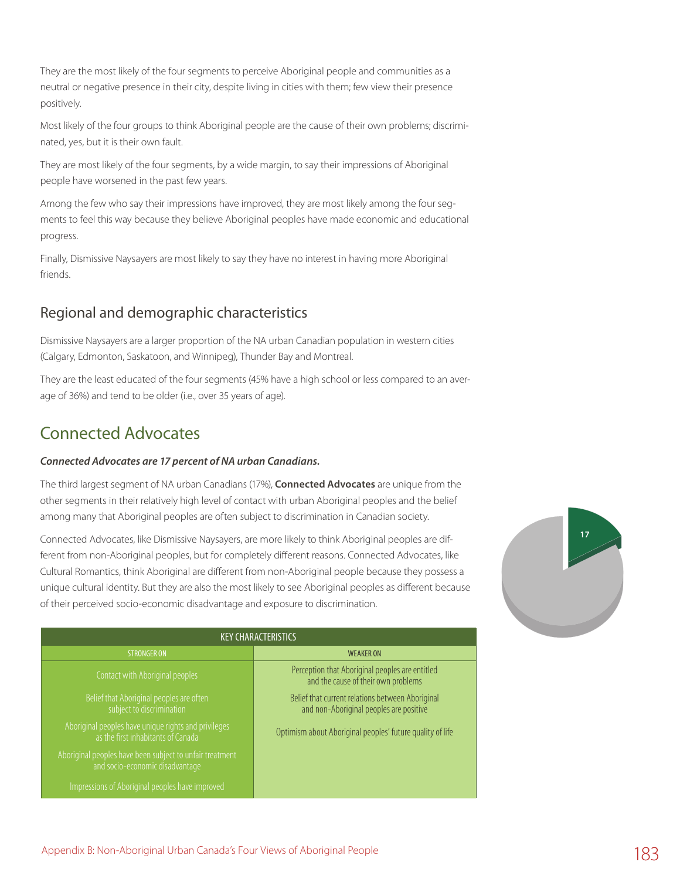They are the most likely of the four segments to perceive Aboriginal people and communities as a neutral or negative presence in their city, despite living in cities with them; few view their presence positively.

Most likely of the four groups to think Aboriginal people are the cause of their own problems; discriminated, yes, but it is their own fault.

They are most likely of the four segments, by a wide margin, to say their impressions of Aboriginal people have worsened in the past few years.

Among the few who say their impressions have improved, they are most likely among the four segments to feel this way because they believe Aboriginal peoples have made economic and educational progress.

Finally, Dismissive Naysayers are most likely to say they have no interest in having more Aboriginal friends.

### Regional and demographic characteristics

Dismissive Naysayers are a larger proportion of the NA urban Canadian population in western cities (Calgary, Edmonton, Saskatoon, and Winnipeg), Thunder Bay and Montreal.

They are the least educated of the four segments (45% have a high school or less compared to an average of 36%) and tend to be older (i.e., over 35 years of age).

## Connected Advocates

#### *Connected Advocates are 17 percent of NA urban Canadians.*

The third largest segment of NA urban Canadians (17%), **Connected Advocates** are unique from the other segments in their relatively high level of contact with urban Aboriginal peoples and the belief among many that Aboriginal peoples are often subject to discrimination in Canadian society.

Connected Advocates, like Dismissive Naysayers, are more likely to think Aboriginal peoples are different from non-Aboriginal peoples, but for completely different reasons. Connected Advocates, like Cultural Romantics, think Aboriginal are different from non-Aboriginal people because they possess a unique cultural identity. But they are also the most likely to see Aboriginal peoples as different because of their perceived socio-economic disadvantage and exposure to discrimination.

| <b>KEY CHARACTERISTICS</b>                                                                  |                                                                                             |  |  |
|---------------------------------------------------------------------------------------------|---------------------------------------------------------------------------------------------|--|--|
| <b>STRONGER ON</b>                                                                          | <b>WEAKER ON</b>                                                                            |  |  |
| Contact with Aboriginal peoples                                                             | Perception that Aboriginal peoples are entitled<br>and the cause of their own problems      |  |  |
| Belief that Aboriginal peoples are often<br>subject to discrimination                       | Belief that current relations between Aboriginal<br>and non-Aboriginal peoples are positive |  |  |
| Aboriginal peoples have unique rights and privileges<br>as the first inhabitants of Canada  | Optimism about Aboriginal peoples' future quality of life                                   |  |  |
| Aboriginal peoples have been subject to unfair treatment<br>and socio-economic disadvantage |                                                                                             |  |  |
| Impressions of Aboriginal peoples have improved                                             |                                                                                             |  |  |

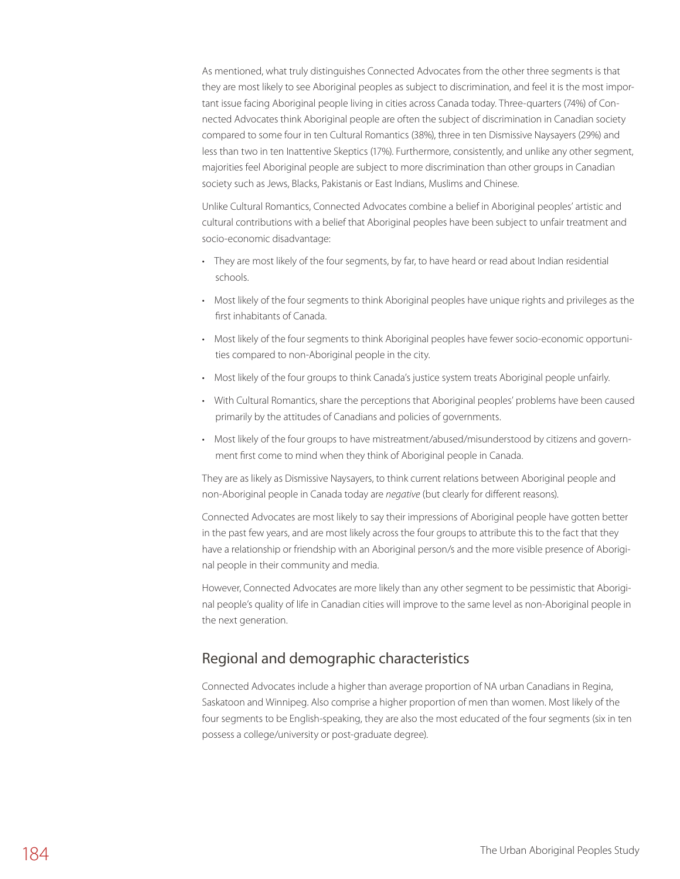As mentioned, what truly distinguishes Connected Advocates from the other three segments is that they are most likely to see Aboriginal peoples as subject to discrimination, and feel it is the most important issue facing Aboriginal people living in cities across Canada today. Three-quarters (74%) of Connected Advocates think Aboriginal people are often the subject of discrimination in Canadian society compared to some four in ten Cultural Romantics (38%), three in ten Dismissive Naysayers (29%) and less than two in ten Inattentive Skeptics (17%). Furthermore, consistently, and unlike any other segment, majorities feel Aboriginal people are subject to more discrimination than other groups in Canadian society such as Jews, Blacks, Pakistanis or East Indians, Muslims and Chinese.

Unlike Cultural Romantics, Connected Advocates combine a belief in Aboriginal peoples' artistic and cultural contributions with a belief that Aboriginal peoples have been subject to unfair treatment and socio-economic disadvantage:

- • They are most likely of the four segments, by far, to have heard or read about Indian residential schools.
- • Most likely of the four segments to think Aboriginal peoples have unique rights and privileges as the first inhabitants of Canada.
- • Most likely of the four segments to think Aboriginal peoples have fewer socio-economic opportunities compared to non-Aboriginal people in the city.
- • Most likely of the four groups to think Canada's justice system treats Aboriginal people unfairly.
- • With Cultural Romantics, share the perceptions that Aboriginal peoples' problems have been caused primarily by the attitudes of Canadians and policies of governments.
- • Most likely of the four groups to have mistreatment/abused/misunderstood by citizens and government first come to mind when they think of Aboriginal people in Canada.

They are as likely as Dismissive Naysayers, to think current relations between Aboriginal people and non-Aboriginal people in Canada today are *negative* (but clearly for different reasons).

Connected Advocates are most likely to say their impressions of Aboriginal people have gotten better in the past few years, and are most likely across the four groups to attribute this to the fact that they have a relationship or friendship with an Aboriginal person/s and the more visible presence of Aboriginal people in their community and media.

However, Connected Advocates are more likely than any other segment to be pessimistic that Aboriginal people's quality of life in Canadian cities will improve to the same level as non-Aboriginal people in the next generation.

### Regional and demographic characteristics

Connected Advocates include a higher than average proportion of NA urban Canadians in Regina, Saskatoon and Winnipeg. Also comprise a higher proportion of men than women. Most likely of the four segments to be English-speaking, they are also the most educated of the four segments (six in ten possess a college/university or post-graduate degree).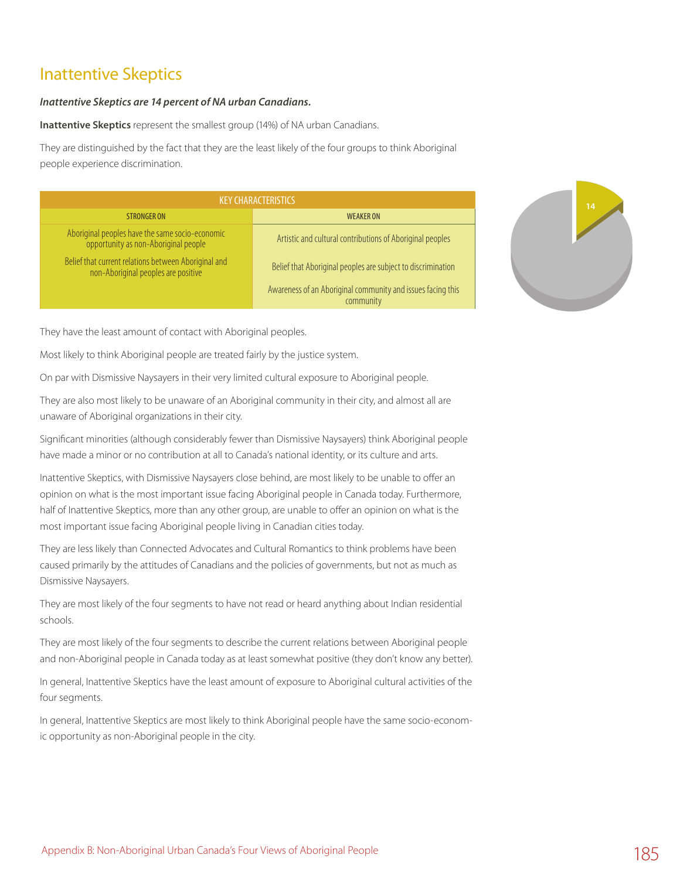## Inattentive Skeptics

#### *Inattentive Skeptics are 14 percent of NA urban Canadians.*

**Inattentive Skeptics** represent the smallest group (14%) of NA urban Canadians.

They are distinguished by the fact that they are the least likely of the four groups to think Aboriginal people experience discrimination.

| <b>KEY CHARACTERISTICS</b>                                                                  |                                                                          |  |  |
|---------------------------------------------------------------------------------------------|--------------------------------------------------------------------------|--|--|
| <b>STRONGER ON</b>                                                                          | <b>WEAKER ON</b>                                                         |  |  |
| Aboriginal peoples have the same socio-economic<br>opportunity as non-Aboriginal people     | Artistic and cultural contributions of Aboriginal peoples                |  |  |
| Belief that current relations between Aboriginal and<br>non-Aboriginal peoples are positive | Belief that Aboriginal peoples are subject to discrimination             |  |  |
|                                                                                             | Awareness of an Aboriginal community and issues facing this<br>community |  |  |



They have the least amount of contact with Aboriginal peoples.

Most likely to think Aboriginal people are treated fairly by the justice system.

On par with Dismissive Naysayers in their very limited cultural exposure to Aboriginal people.

They are also most likely to be unaware of an Aboriginal community in their city, and almost all are unaware of Aboriginal organizations in their city.

Significant minorities (although considerably fewer than Dismissive Naysayers) think Aboriginal people have made a minor or no contribution at all to Canada's national identity, or its culture and arts.

Inattentive Skeptics, with Dismissive Naysayers close behind, are most likely to be unable to offer an opinion on what is the most important issue facing Aboriginal people in Canada today. Furthermore, half of Inattentive Skeptics, more than any other group, are unable to offer an opinion on what is the most important issue facing Aboriginal people living in Canadian cities today.

They are less likely than Connected Advocates and Cultural Romantics to think problems have been caused primarily by the attitudes of Canadians and the policies of governments, but not as much as Dismissive Naysayers.

They are most likely of the four segments to have not read or heard anything about Indian residential schools.

They are most likely of the four segments to describe the current relations between Aboriginal people and non-Aboriginal people in Canada today as at least somewhat positive (they don't know any better).

In general, Inattentive Skeptics have the least amount of exposure to Aboriginal cultural activities of the four segments.

In general, Inattentive Skeptics are most likely to think Aboriginal people have the same socio-economic opportunity as non-Aboriginal people in the city.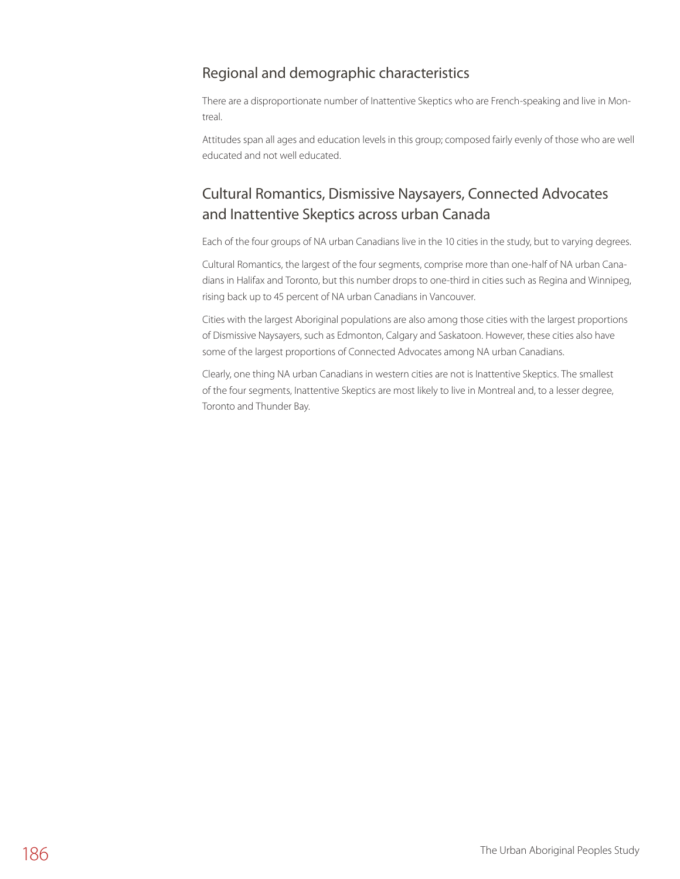### Regional and demographic characteristics

There are a disproportionate number of Inattentive Skeptics who are French-speaking and live in Montreal.

Attitudes span all ages and education levels in this group; composed fairly evenly of those who are well educated and not well educated.

## Cultural Romantics, Dismissive Naysayers, Connected Advocates and Inattentive Skeptics across urban Canada

Each of the four groups of NA urban Canadians live in the 10 cities in the study, but to varying degrees.

Cultural Romantics, the largest of the four segments, comprise more than one-half of NA urban Canadians in Halifax and Toronto, but this number drops to one-third in cities such as Regina and Winnipeg, rising back up to 45 percent of NA urban Canadians in Vancouver.

Cities with the largest Aboriginal populations are also among those cities with the largest proportions of Dismissive Naysayers, such as Edmonton, Calgary and Saskatoon. However, these cities also have some of the largest proportions of Connected Advocates among NA urban Canadians.

Clearly, one thing NA urban Canadians in western cities are not is Inattentive Skeptics. The smallest of the four segments, Inattentive Skeptics are most likely to live in Montreal and, to a lesser degree, Toronto and Thunder Bay.